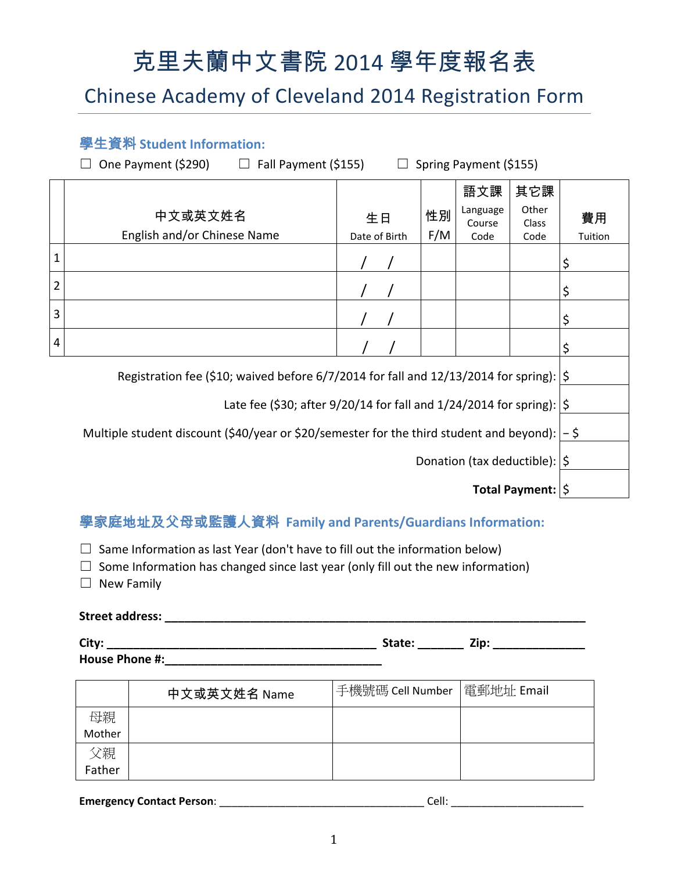# 克里夫蘭中文書院 2014 學年度報名表

# Chinese Academy of Cleveland 2014 Registration Form

### 學生資料 **Student Information:**

 $\Box$  One Payment (\$290)  $\Box$  Fall Payment (\$155)  $\Box$  Spring Payment (\$155)

|                                                                                         |                             |               |     | 語文課                | 其它課            |         |  |
|-----------------------------------------------------------------------------------------|-----------------------------|---------------|-----|--------------------|----------------|---------|--|
|                                                                                         | 中文或英文姓名                     | 生日            | 性別  | Language<br>Course | Other<br>Class | 費用      |  |
|                                                                                         | English and/or Chinese Name | Date of Birth | F/M | Code               | Code           | Tuition |  |
| 1                                                                                       |                             |               |     |                    |                | \$      |  |
| 2                                                                                       |                             |               |     |                    |                | \$      |  |
| 3                                                                                       |                             |               |     |                    |                | ⊋       |  |
| 4                                                                                       |                             |               |     |                    |                |         |  |
| Registration fee (\$10; waived before 6/7/2014 for fall and 12/13/2014 for spring):  \$ |                             |               |     |                    |                |         |  |

Late fee (\$30; after 9/20/14 for fall and 1/24/2014 for spring):  $|\hat{\phi}|$ 

Multiple student discount (\$40/year or \$20/semester for the third student and beyond):  $\vert -5 \rangle$ 

Donation (tax deductible):  $|\hat{\mathsf{S}}|$ 

**Total Payment:**  $|\hat{\phi}|$ 

# 學家庭地址及父母或監護人資料 **Family and Parents/Guardians Information:**

 $\Box$  Same Information as last Year (don't have to fill out the information below)

 $\Box$  Some Information has changed since last year (only fill out the new information)

 $\Box$  New Family

#### **Street address: \_\_\_\_\_\_\_\_\_\_\_\_\_\_\_\_\_\_\_\_\_\_\_\_\_\_\_\_\_\_\_\_\_\_\_\_\_\_\_\_\_\_\_\_\_\_\_\_\_\_\_\_\_\_\_\_\_\_\_\_\_\_\_\_**

| City:          | state: | Zip: |
|----------------|--------|------|
| House Phone #: |        |      |

|        | 中文或英文姓名 Name | 手機號碼 Cell Number | 電郵地址 Email |
|--------|--------------|------------------|------------|
| 母親     |              |                  |            |
| Mother |              |                  |            |
| 父親     |              |                  |            |
| Father |              |                  |            |

**Emergency Contact Person**: \_\_\_\_\_\_\_\_\_\_\_\_\_\_\_\_\_\_\_\_\_\_\_\_\_\_\_\_\_\_\_\_\_\_ Cell: \_\_\_\_\_\_\_\_\_\_\_\_\_\_\_\_\_\_\_\_\_\_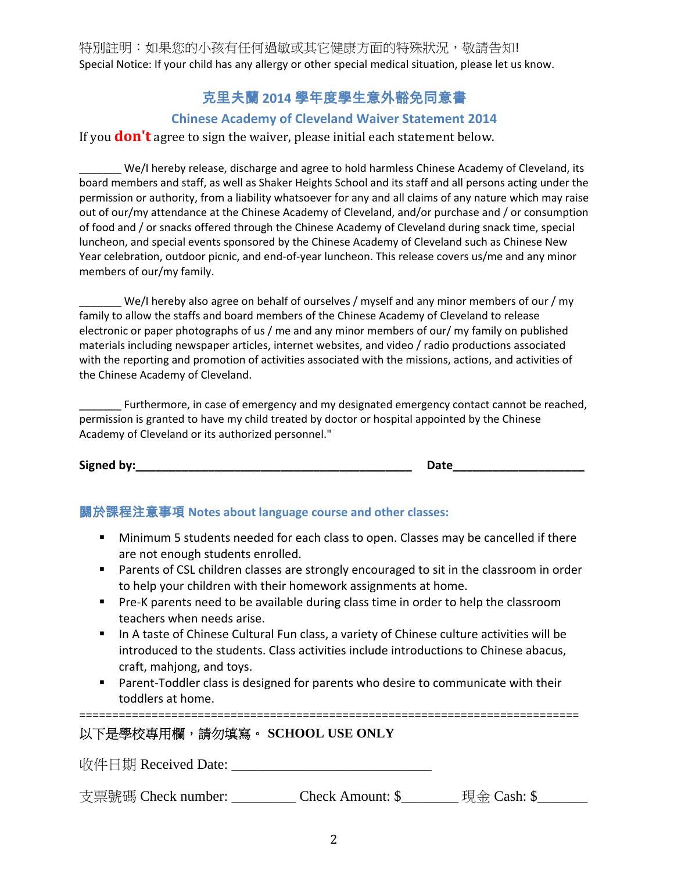特別註明:如果您的小孩有任何過敏或其它健康方面的特殊狀況,敬請告知! Special Notice: If your child has any allergy or other special medical situation, please let us know.

## 克里夫蘭 **2014** 學年度學生意外豁免同意書

#### **Chinese Academy of Cleveland Waiver Statement 2014**

If you **don't** agree to sign the waiver, please initial each statement below.

\_\_\_\_\_\_\_ We/I hereby release, discharge and agree to hold harmless Chinese Academy of Cleveland, its board members and staff, as well as Shaker Heights School and its staff and all persons acting under the permission or authority, from a liability whatsoever for any and all claims of any nature which may raise out of our/my attendance at the Chinese Academy of Cleveland, and/or purchase and / or consumption of food and / or snacks offered through the Chinese Academy of Cleveland during snack time, special luncheon, and special events sponsored by the Chinese Academy of Cleveland such as Chinese New Year celebration, outdoor picnic, and end-of-year luncheon. This release covers us/me and any minor members of our/my family.

 $\blacksquare$  We/I hereby also agree on behalf of ourselves / myself and any minor members of our / my family to allow the staffs and board members of the Chinese Academy of Cleveland to release electronic or paper photographs of us / me and any minor members of our/ my family on published materials including newspaper articles, internet websites, and video / radio productions associated with the reporting and promotion of activities associated with the missions, actions, and activities of the Chinese Academy of Cleveland.

\_\_ Furthermore, in case of emergency and my designated emergency contact cannot be reached, permission is granted to have my child treated by doctor or hospital appointed by the Chinese Academy of Cleveland or its authorized personnel."

**Signed by:\_\_\_\_\_\_\_\_\_\_\_\_\_\_\_\_\_\_\_\_\_\_\_\_\_\_\_\_\_\_\_\_\_\_\_\_\_\_\_\_\_\_ Date\_\_\_\_\_\_\_\_\_\_\_\_\_\_\_\_\_\_\_\_**

#### 關於課程注意事項 **Notes about language course and other classes:**

- **Minimum 5 students needed for each class to open. Classes may be cancelled if there** are not enough students enrolled.
- **Parents of CSL children classes are strongly encouraged to sit in the classroom in order** to help your children with their homework assignments at home.
- Pre-K parents need to be available during class time in order to help the classroom teachers when needs arise.
- In A taste of Chinese Cultural Fun class, a variety of Chinese culture activities will be introduced to the students. Class activities include introductions to Chinese abacus, craft, mahjong, and toys.
- Parent-Toddler class is designed for parents who desire to communicate with their toddlers at home.

============================================================================

#### 以下是學校專用欄,請勿填寫。 **SCHOOL USE ONLY**

收件日期 Received Date: \_\_\_\_\_\_\_\_\_\_\_\_\_\_\_\_\_\_\_\_\_\_\_\_\_\_\_\_

支票號碼 Check number: \_\_\_\_\_\_\_\_\_ Check Amount: \$\_\_\_\_\_\_\_ 現金 Cash: \$\_\_\_\_\_\_